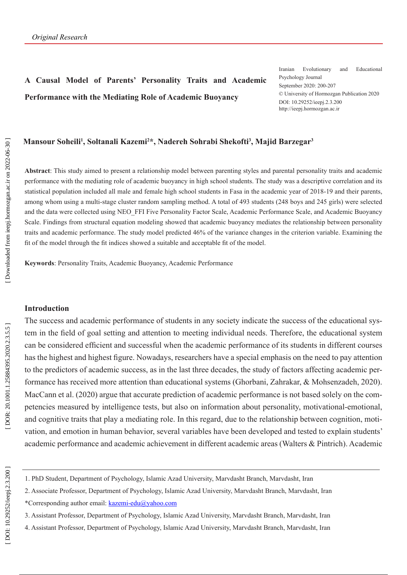# **A Causal Model of Parents' Personality Traits and Academic Performance with the Mediating Role of Academic Buoyancy**

Iranian Evolutionary and Educational Psychology Journal September 2020: 200-207 © University of Hormozgan Publication 2020 DOI: 10.29252/ieepj.2.3.200 http://ieepj.hormozgan.ac.ir

## **Mansour Soheili 1 , Soltanali Kazemi 2 \*, Nadereh Sohrabi Shekofti 3 , Majid Barzegar 3**

**Abstract**: This study aimed to present a relationship model between parenting styles and parental personality traits and academic performance with the mediating role of academic buoyancy in high school students. The study was a descriptive correlation and its statistical population included all male and female high school students in Fasa in the academic year of 2018-19 and their parents, among whom using a multi-stage cluster random sampling method. A total of 493 students (248 boys and 245 girls) were selected and the data were collected using NEO\_FFI Five Personality Factor Scale, Academic Performance Scale, and Academic Buoyancy Scale. Findings from structural equation modeling showed that academic buoyancy mediates the relationship between personality traits and academic performance. The study model predicted 46% of the variance changes in the criterion variable. Examining the fit of the model through the fit indices showed a suitable and acceptable fit of the model.

**Keywords**: Personality Traits, Academic Buoyancy, Academic Performance

#### **Introduction**

The success and academic performance of students in any society indicate the success of the educational sys tem in the field of goal setting and attention to meeting individual needs. Therefore, the educational system can be considered efficient and successful when the academic performance of its students in different courses has the highest and highest figure. Nowadays, researchers have a special emphasis on the need to pay attention to the predictors of academic success, as in the last three decades, the study of factors affecting academic per formance has received more attention than educational systems (Ghorbani, Zahrakar, & Mohsenzadeh, 2020). MacCann et al. (2020) argue that accurate prediction of academic performance is not based solely on the com petencies measured by intelligence tests, but also on information about personality, motivational-emotional, and cognitive traits that play a mediating role. In this regard, due to the relationship between cognition, moti vation, and emotion in human behavior, several variables have been developed and tested to explain students' academic performance and academic achievement in different academic areas (Walters & Pintrich). Academic

4. Assistant Professor, Department of Psychology, Islamic Azad University, Marvdasht Branch, Marvdasht, Iran

<sup>1.</sup> PhD Student, Department of Psychology, Islamic Azad University, Marvdasht Branch, Marvdasht, Iran

<sup>2.</sup> Associate Professor, Department of Psychology, Islamic Azad University, Marvdasht Branch, Marvdasht, Iran \*Corresponding author email: kazemi-edu@yahoo.com

<sup>3.</sup> Assistant Professor, Department of Psychology, Islamic Azad University, Marvdasht Branch, Marvdasht, Iran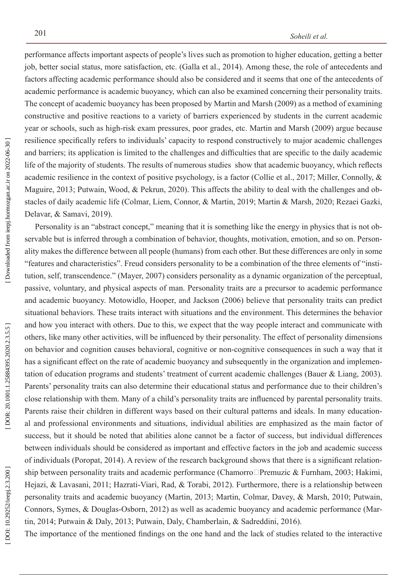performance affects important aspects of people's lives such as promotion to higher education, getting a better job, better social status, more satisfaction, etc. (Galla et al., 2014). Among these, the role of antecedents and factors affecting academic performance should also be considered and it seems that one of the antecedents of academic performance is academic buoyancy, which can also be examined concerning their personality traits. The concept of academic buoyancy has been proposed by Martin and Marsh (2009) as a method of examining constructive and positive reactions to a variety of barriers experienced by students in the current academic year or schools, such as high-risk exam pressures, poor grades, etc. Martin and Marsh (2009) argue because resilience specifically refers to individuals' capacity to respond constructively to major academic challenges and barriers; its application is limited to the challenges and difficulties that are specific to the daily academic life of the majority of students. The results of numerous studies show that academic buoyancy, which reflects academic resilience in the context of positive psychology, is a factor (Collie et al., 2017; Miller, Connolly, & Maguire, 2013; Putwain, Wood, & Pekrun, 2020). This affects the ability to deal with the challenges and obstacles of daily academic life (Colmar, Liem, Connor, & Martin, 2019; Martin & Marsh, 2020; Rezaei Gazki, Delavar, & Samavi, 2019).

Personality is an "abstract concept," meaning that it is something like the energy in physics that is not observable but is inferred through a combination of behavior, thoughts, motivation, emotion, and so on. Personality makes the difference between all people (humans) from each other. But these differences are only in some "features and characteristics". Freud considers personality to be a combination of the three elements of "insti tution, self, transcendence." (Mayer, 2007) considers personality as a dynamic organization of the perceptual, passive, voluntary, and physical aspects of man. Personality traits are a precursor to academic performance and academic buoyancy. Motowidlo, Hooper, and Jackson (2006) believe that personality traits can predict situational behaviors. These traits interact with situations and the environment. This determines the behavior and how you interact with others. Due to this, we expect that the way people interact and communicate with others, like many other activities, will be influenced by their personality. The effect of personality dimensions on behavior and cognition causes behavioral, cognitive or non-cognitive consequences in such a way that it has a significant effect on the rate of academic buoyancy and subsequently in the organization and implementation of education programs and students' treatment of current academic challenges (Bauer & Liang, 2003). Parents' personality traits can also determine their educational status and performance due to their children's close relationship with them. Many of a child's personality traits are influenced by parental personality traits. Parents raise their children in different ways based on their cultural patterns and ideals. In many education al and professional environments and situations, individual abilities are emphasized as the main factor of success, but it should be noted that abilities alone cannot be a factor of success, but individual differences between individuals should be considered as important and effective factors in the job and academic success of individuals (Poropat, 2014). A review of the research background shows that there is a significant relation ship between personality traits and academic performance (Chamorro□Premuzic & Furnham, 2003; Hakimi, Hejazi, & Lavasani, 2011; Hazrati-Viari, Rad, & Torabi, 2012). Furthermore, there is a relationship between personality traits and academic buoyancy (Martin, 2013; Martin, Colmar, Davey, & Marsh, 2010; Putwain, Connors, Symes, & Douglas-Osborn, 2012) as well as academic buoyancy and academic performance (Mar tin, 2014; Putwain & Daly, 2013; Putwain, Daly, Chamberlain, & Sadreddini, 2016).

The importance of the mentioned findings on the one hand and the lack of studies related to the interactive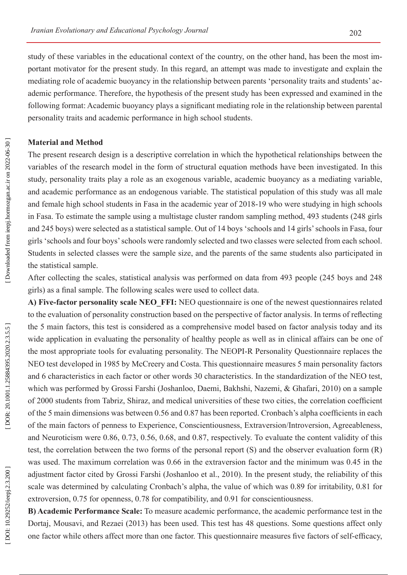study of these variables in the educational context of the country, on the other hand, has been the most important motivator for the present study. In this regard, an attempt was made to investigate and explain the mediating role of academic buoyancy in the relationship between parents 'personality traits and students' ac ademic performance. Therefore, the hypothesis of the present study has been expressed and examined in the following format: Academic buoyancy plays a significant mediating role in the relationship between parental personality traits and academic performance in high school students.

#### **Material and Method**

The present research design is a descriptive correlation in which the hypothetical relationships between the variables of the research model in the form of structural equation methods have been investigated. In this study, personality traits play a role as an exogenous variable, academic buoyancy as a mediating variable, and academic performance as an endogenous variable. The statistical population of this study was all male and female high school students in Fasa in the academic year of 2018-19 who were studying in high schools in Fasa. To estimate the sample using a multistage cluster random sampling method, 493 students (248 girls and 245 boys) were selected as a statistical sample. Out of 14 boys 'schools and 14 girls' schools in Fasa, four girls 'schools and four boys' schools were randomly selected and two classes were selected from each school. Students in selected classes were the sample size, and the parents of the same students also participated in the statistical sample.

After collecting the scales, statistical analysis was performed on data from 493 people (245 boys and 248 girls) as a final sample. The following scales were used to collect data.

**A) Five-factor personality scale NEO\_FFI:** NEO questionnaire is one of the newest questionnaires related to the evaluation of personality construction based on the perspective of factor analysis. In terms of reflecting the 5 main factors, this test is considered as a comprehensive model based on factor analysis today and its wide application in evaluating the personality of healthy people as well as in clinical affairs can be one of the most appropriate tools for evaluating personality. The NEOPI-R Personality Questionnaire replaces the NEO test developed in 1985 by McCreery and Costa. This questionnaire measures 5 main personality factors and 6 characteristics in each factor or other words 30 characteristics. In the standardization of the NEO test, which was performed by Grossi Farshi (Joshanloo, Daemi, Bakhshi, Nazemi, & Ghafari, 2010) on a sample of 2000 students from Tabriz, Shiraz, and medical universities of these two cities, the correlation coefficient of the 5 main dimensions was between 0.56 and 0.87 has been reported. Cronbach's alpha coefficients in each of the main factors of penness to Experience, Conscientiousness, Extraversion/Introversion, Agreeableness, and Neuroticism were 0.86, 0.73, 0.56, 0.68, and 0.87, respectively. To evaluate the content validity of this test, the correlation between the two forms of the personal report (S) and the observer evaluation form (R) was used. The maximum correlation was 0.66 in the extraversion factor and the minimum was 0.45 in the adjustment factor cited by Grossi Farshi (Joshanloo et al., 2010). In the present study, the reliability of this scale was determined by calculating Cronbach's alpha, the value of which was 0.89 for irritability, 0.81 for extroversion, 0.75 for openness, 0.78 for compatibility, and 0.91 for conscientiousness.

**B) Academic Performance Scale:** To measure academic performance, the academic performance test in the Dortaj, Mousavi, and Rezaei (2013) has been used. This test has 48 questions. Some questions affect only one factor while others affect more than one factor. This questionnaire measures five factors of self-efficacy,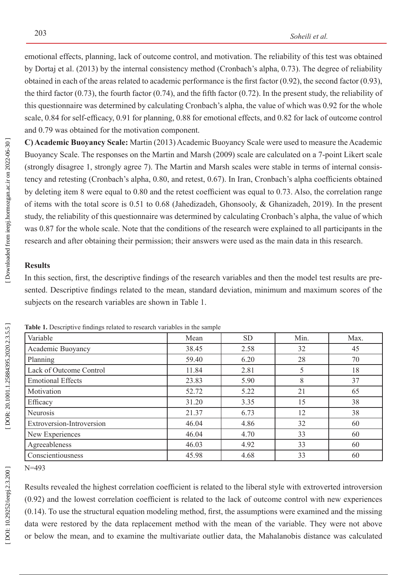emotional effects, planning, lack of outcome control, and motivation. The reliability of this test was obtained by Dortaj et al. (2013) by the internal consistency method (Cronbach's alpha, 0.73). The degree of reliability obtained in each of the areas related to academic performance is the first factor (0.92), the second factor (0.93), the third factor  $(0.73)$ , the fourth factor  $(0.74)$ , and the fifth factor  $(0.72)$ . In the present study, the reliability of this questionnaire was determined by calculating Cronbach's alpha, the value of which was 0.92 for the whole scale, 0.84 for self-efficacy, 0.91 for planning, 0.88 for emotional effects, and 0.82 for lack of outcome control and 0.79 was obtained for the motivation component.

**C) Academic Buoyancy Scale:** Martin (2013) Academic Buoyancy Scale were used to measure the Academic Buoyancy Scale. The responses on the Martin and Marsh (2009) scale are calculated on a 7-point Likert scale (strongly disagree 1, strongly agree 7). The Martin and Marsh scales were stable in terms of internal consis tency and retesting (Cronbach's alpha, 0.80, and retest, 0.67). In Iran, Cronbach's alpha coefficients obtained by deleting item 8 were equal to 0.80 and the retest coefficient was equal to 0.73. Also, the correlation range of items with the total score is 0.51 to 0.68 (Jahedizadeh, Ghonsooly, & Ghanizadeh, 2019). In the present study, the reliability of this questionnaire was determined by calculating Cronbach's alpha, the value of which was 0.87 for the whole scale. Note that the conditions of the research were explained to all participants in the research and after obtaining their permission; their answers were used as the main data in this research.

# **Results**

In this section, first, the descriptive findings of the research variables and then the model test results are presented. Descriptive findings related to the mean, standard deviation, minimum and maximum scores of the subjects on the research variables are shown in Table 1.

| Variable                  | Mean  | <b>SD</b> | Min. | Max. |
|---------------------------|-------|-----------|------|------|
| Academic Buoyancy         | 38.45 | 2.58      | 32   | 45   |
| Planning                  | 59.40 | 6.20      | 28   | 70   |
| Lack of Outcome Control   | 11.84 | 2.81      | 5    | 18   |
| <b>Emotional Effects</b>  | 23.83 | 5.90      | 8    | 37   |
| Motivation                | 52.72 | 5.22      | 21   | 65   |
| Efficacy                  | 31.20 | 3.35      | 15   | 38   |
| Neurosis                  | 21.37 | 6.73      | 12   | 38   |
| Extroversion-Introversion | 46.04 | 4.86      | 32   | 60   |
| New Experiences           | 46.04 | 4.70      | 33   | 60   |
| Agreeableness             | 46.03 | 4.92      | 33   | 60   |
| Conscientiousness         | 45.98 | 4.68      | 33   | 60   |

**Table 1.** Descriptive findings related to research variables in the sample

N=493

Results revealed the highest correlation coefficient is related to the liberal style with extroverted introversion (0.92) and the lowest correlation coefficient is related to the lack of outcome control with new experiences (0.14). To use the structural equation modeling method, first, the assumptions were examined and the missing data were restored by the data replacement method with the mean of the variable. They were not above or below the mean, and to examine the multivariate outlier data, the Mahalanobis distance was calculated

DOI: 10.29252/ieepj.2.3.200 ]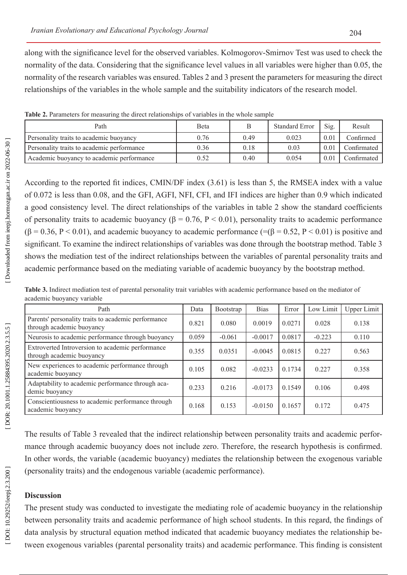along with the significance level for the observed variables. Kolmogorov-Smirnov Test was used to check the normality of the data. Considering that the significance level values in all variables were higher than 0.05, the normality of the research variables was ensured. Tables 2 and 3 present the parameters for measuring the direct relationships of the variables in the whole sample and the suitability indicators of the research model.

| Path                                       | <b>B</b> eta |      | <b>Standard Error</b> | Sig. | Result      |
|--------------------------------------------|--------------|------|-----------------------|------|-------------|
| Personality traits to academic buoyancy    | 0.76         | 0.49 | 0.023                 | 0.01 | Confirmed   |
| Personality traits to academic performance | 0.36         | 0.18 | 0.03                  | 0.01 | Confirmated |
| Academic buoyancy to academic performance  | 0.52         | 0.40 | 0.054                 | 0.01 | Confirmated |

**Table 2.** Parameters for measuring the direct relationships of variables in the whole sample

According to the reported fit indices, CMIN/DF index (3.61) is less than 5, the RMSEA index with a value of 0.072 is less than 0.08, and the GFI, AGFI, NFI, CFI, and IFI indices are higher than 0.9 which indicated a good consistency level. The direct relationships of the variables in table 2 show the standard coefficients of personality traits to academic buoyancy (β = 0.76, P < 0.01), personality traits to academic performance  $(\beta = 0.36, P < 0.01)$ , and academic buoyancy to academic performance (=( $\beta = 0.52, P < 0.01$ ) is positive and significant. To examine the indirect relationships of variables was done through the bootstrap method. Table 3 shows the mediation test of the indirect relationships between the variables of parental personality traits and academic performance based on the mediating variable of academic buoyancy by the bootstrap method.

**Table 3.** Indirect mediation test of parental personality trait variables with academic performance based on the mediator of academic buoyancy variable

| Path                                                                             | Data  | <b>Bootstrap</b> | <b>Bias</b> | Error  | Low Limit | <b>Upper Limit</b> |
|----------------------------------------------------------------------------------|-------|------------------|-------------|--------|-----------|--------------------|
| Parents' personality traits to academic performance<br>through academic buoyancy | 0.821 | 0.080            | 0.0019      | 0.0271 | 0.028     | 0.138              |
| Neurosis to academic performance through buoyancy                                | 0.059 | $-0.061$         | $-0.0017$   | 0.0817 | $-0.223$  | 0.110              |
| Extroverted Introversion to academic performance<br>through academic buoyancy    | 0.355 | 0.0351           | $-0.0045$   | 0.0815 | 0.227     | 0.563              |
| New experiences to academic performance through<br>academic buoyancy             | 0.105 | 0.082            | $-0.0233$   | 0.1734 | 0.227     | 0.358              |
| Adaptability to academic performance through aca-<br>demic buoyancy              | 0.233 | 0.216            | $-0.0173$   | 0.1549 | 0.106     | 0.498              |
| Conscientiousness to academic performance through<br>academic buoyancy           | 0.168 | 0.153            | $-0.0150$   | 0.1657 | 0.172     | 0.475              |

The results of Table 3 revealed that the indirect relationship between personality traits and academic perfor mance through academic buoyancy does not include zero. Therefore, the research hypothesis is confirmed. In other words, the variable (academic buoyancy) mediates the relationship between the exogenous variable (personality traits) and the endogenous variable (academic performance).

#### **Discussion**

The present study was conducted to investigate the mediating role of academic buoyancy in the relationship between personality traits and academic performance of high school students. In this regard, the findings of data analysis by structural equation method indicated that academic buoyancy mediates the relationship be tween exogenous variables (parental personality traits) and academic performance. This finding is consistent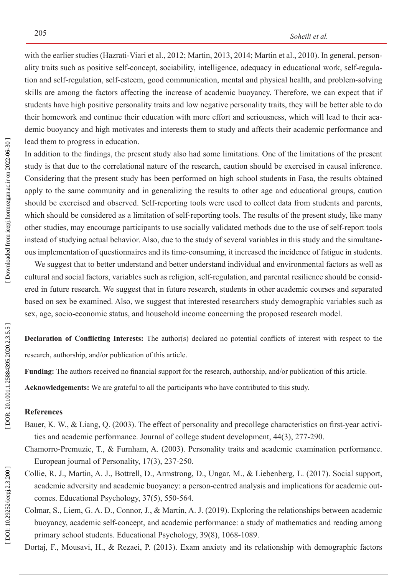with the earlier studies (Hazrati-Viari et al., 2012; Martin, 2013, 2014; Martin et al., 2010). In general, person ality traits such as positive self-concept, sociability, intelligence, adequacy in educational work, self-regula tion and self-regulation, self-esteem, good communication, mental and physical health, and problem-solving skills are among the factors affecting the increase of academic buoyancy. Therefore, we can expect that if students have high positive personality traits and low negative personality traits, they will be better able to do their homework and continue their education with more effort and seriousness, which will lead to their aca demic buoyancy and high motivates and interests them to study and affects their academic performance and lead them to progress in education.

In addition to the findings, the present study also had some limitations. One of the limitations of the present study is that due to the correlational nature of the research, caution should be exercised in causal inference. Considering that the present study has been performed on high school students in Fasa, the results obtained apply to the same community and in generalizing the results to other age and educational groups, caution should be exercised and observed. Self-reporting tools were used to collect data from students and parents, which should be considered as a limitation of self-reporting tools. The results of the present study, like many other studies, may encourage participants to use socially validated methods due to the use of self-report tools instead of studying actual behavior. Also, due to the study of several variables in this study and the simultane ous implementation of questionnaires and its time-consuming, it increased the incidence of fatigue in students.

 We suggest that to better understand and better understand individual and environmental factors as well as cultural and social factors, variables such as religion, self-regulation, and parental resilience should be consid ered in future research. We suggest that in future research, students in other academic courses and separated based on sex be examined. Also, we suggest that interested researchers study demographic variables such as sex, age, socio-economic status, and household income concerning the proposed research model.

**Declaration of Conflicting Interests:** The author(s) declared no potential conflicts of interest with respect to the research, authorship, and/or publication of this article.

**Funding:** The authors received no financial support for the research, authorship, and/or publication of this article.

**Acknowledgements:** We are grateful to all the participants who have contributed to this study.

## **References**

- Bauer, K. W., & Liang, Q. (2003). The effect of personality and precollege characteristics on first-year activities and academic performance. Journal of college student development, 44(3), 277-290.
- Chamorro-Premuzic, T., & Furnham, A. (2003). Personality traits and academic examination performance. European journal of Personality, 17(3), 237-250.
- Collie, R. J., Martin, A. J., Bottrell, D., Armstrong, D., Ungar, M., & Liebenberg, L. (2017). Social support, academic adversity and academic buoyancy: a person-centred analysis and implications for academic out comes. Educational Psychology, 37(5), 550-564.
- Colmar, S., Liem, G. A. D., Connor, J., & Martin, A. J. (2019). Exploring the relationships between academic buoyancy, academic self-concept, and academic performance: a study of mathematics and reading among primary school students. Educational Psychology, 39(8), 1068-1089.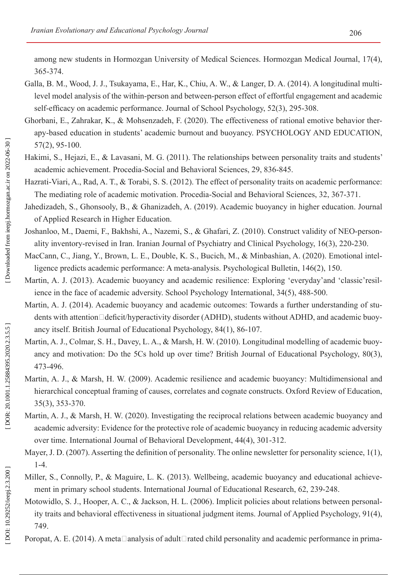among new students in Hormozgan University of Medical Sciences. Hormozgan Medical Journal, 17(4), 365-374.

- Galla, B. M., Wood, J. J., Tsukayama, E., Har, K., Chiu, A. W., & Langer, D. A. (2014). A longitudinal multi level model analysis of the within-person and between-person effect of effortful engagement and academic self-efficacy on academic performance. Journal of School Psychology, 52(3), 295-308.
- Ghorbani, E., Zahrakar, K., & Mohsenzadeh, F. (2020). The effectiveness of rational emotive behavior therapy-based education in students' academic burnout and buoyancy. PSYCHOLOGY AND EDUCATION, 57(2), 95-100.
- Hakimi, S., Hejazi, E., & Lavasani, M. G. (2011). The relationships between personality traits and students' academic achievement. Procedia-Social and Behavioral Sciences, 29, 836-845.

Hazrati-Viari, A., Rad, A. T., & Torabi, S. S. (2012). The effect of personality traits on academic performance: The mediating role of academic motivation. Procedia-Social and Behavioral Sciences, 32, 367-371.

Jahedizadeh, S., Ghonsooly, B., & Ghanizadeh, A. (2019). Academic buoyancy in higher education. Journal of Applied Research in Higher Education.

- Joshanloo, M., Daemi, F., Bakhshi, A., Nazemi, S., & Ghafari, Z. (2010). Construct validity of NEO-person ality inventory-revised in Iran. Iranian Journal of Psychiatry and Clinical Psychology, 16(3), 220-230.
- MacCann, C., Jiang, Y., Brown, L. E., Double, K. S., Bucich, M., & Minbashian, A. (2020). Emotional intelligence predicts academic performance: A meta-analysis. Psychological Bulletin, 146(2), 150.
- Martin, A. J. (2013). Academic buoyancy and academic resilience: Exploring 'everyday'and 'classic'resilience in the face of academic adversity. School Psychology International, 34(5), 488-500.
- Martin, A. J. (2014). Academic buoyancy and academic outcomes: Towards a further understanding of stu dents with attention□deficit/hyperactivity disorder (ADHD), students without ADHD, and academic buoyancy itself. British Journal of Educational Psychology, 84(1), 86-107.
- Martin, A. J., Colmar, S. H., Davey, L. A., & Marsh, H. W. (2010). Longitudinal modelling of academic buoy ancy and motivation: Do the 5Cs hold up over time? British Journal of Educational Psychology, 80(3), 473-496.
- Martin, A. J., & Marsh, H. W. (2009). Academic resilience and academic buoyancy: Multidimensional and hierarchical conceptual framing of causes, correlates and cognate constructs. Oxford Review of Education, 35(3), 353-370.
- Martin, A. J., & Marsh, H. W. (2020). Investigating the reciprocal relations between academic buoyancy and academic adversity: Evidence for the protective role of academic buoyancy in reducing academic adversity over time. International Journal of Behavioral Development, 44(4), 301-312.
- Mayer, J. D. (2007). Asserting the definition of personality. The online newsletter for personality science, 1(1), 1-4.
- Miller, S., Connolly, P., & Maguire, L. K. (2013). Wellbeing, academic buoyancy and educational achievement in primary school students. International Journal of Educational Research, 62, 239-248.
- Motowidlo, S. J., Hooper, A. C., & Jackson, H. L. (2006). Implicit policies about relations between personal ity traits and behavioral effectiveness in situational judgment items. Journal of Applied Psychology, 91(4), 749.
- Poropat, A. E. (2014). A meta□analysis of adult□rated child personality and academic performance in prima-